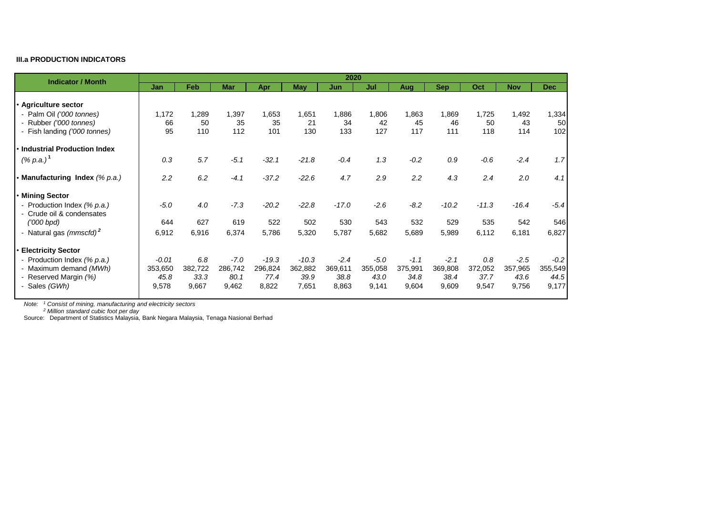## **III.a PRODUCTION INDICATORS**

| <b>Indicator / Month</b>            | 2020    |         |            |         |            |         |         |         |            |         |            |            |
|-------------------------------------|---------|---------|------------|---------|------------|---------|---------|---------|------------|---------|------------|------------|
|                                     | Jan     | Feb     | <b>Mar</b> | Apr     | <b>May</b> | Jun     | Jul     | Aug     | <b>Sep</b> | Oct     | <b>Nov</b> | <b>Dec</b> |
|                                     |         |         |            |         |            |         |         |         |            |         |            |            |
| · Agriculture sector                |         |         |            |         |            |         |         |         |            |         |            |            |
| - Palm Oil ('000 tonnes)            | 1,172   | 1,289   | 1,397      | 1,653   | 1,651      | 1,886   | 1,806   | 1,863   | 1,869      | 1,725   | 1,492      | 1,334      |
| - Rubber ('000 tonnes)              | 66      | 50      | 35         | 35      | 21         | 34      | 42      | 45      | 46         | 50      | 43         | 50         |
| - Fish landing ('000 tonnes)        | 95      | 110     | 112        | 101     | 130        | 133     | 127     | 117     | 111        | 118     | 114        | 102        |
| • Industrial Production Index       |         |         |            |         |            |         |         |         |            |         |            |            |
| $(% p.a.)^1$                        | 0.3     | 5.7     | $-5.1$     | $-32.1$ | $-21.8$    | $-0.4$  | 1.3     | $-0.2$  | 0.9        | $-0.6$  | $-2.4$     | 1.7        |
|                                     |         |         |            |         |            |         |         |         |            |         |            |            |
| • Manufacturing Index (% p.a.)      | 2.2     | 6.2     | $-4.1$     | $-37.2$ | $-22.6$    | 4.7     | 2.9     | 2.2     | 4.3        | 2.4     | 2.0        | 4.1        |
| • Mining Sector                     |         |         |            |         |            |         |         |         |            |         |            |            |
| - Production Index (% p.a.)         | $-5.0$  | 4.0     | $-7.3$     | $-20.2$ | $-22.8$    | $-17.0$ | $-2.6$  | $-8.2$  | $-10.2$    | $-11.3$ | $-16.4$    | $-5.4$     |
| - Crude oil & condensates           |         |         |            |         |            |         |         |         |            |         |            |            |
| $(000$ bpd)                         | 644     | 627     | 619        | 522     | 502        | 530     | 543     | 532     | 529        | 535     | 542        | 546        |
| - Natural gas (mmscfd) <sup>2</sup> | 6,912   | 6,916   | 6,374      | 5,786   | 5,320      | 5,787   | 5,682   | 5,689   | 5,989      | 6,112   | 6,181      | 6,827      |
| • Electricity Sector                |         |         |            |         |            |         |         |         |            |         |            |            |
| - Production Index (% p.a.)         | $-0.01$ | 6.8     | $-7.0$     | $-19.3$ | $-10.3$    | $-2.4$  | $-5.0$  | $-1.1$  | $-2.1$     | 0.8     | $-2.5$     | $-0.2$     |
| - Maximum demand (MWh)              | 353,650 | 382,722 | 286,742    | 296,824 | 362,882    | 369,611 | 355,058 | 375,991 | 369,808    | 372,052 | 357,965    | 355,549    |
| - Reserved Margin (%)               | 45.8    | 33.3    | 80.1       | 77.4    | 39.9       | 38.8    | 43.0    | 34.8    | 38.4       | 37.7    | 43.6       | 44.5       |
| - Sales (GWh)                       | 9,578   | 9,667   | 9,462      | 8,822   | 7,651      | 8,863   | 9,141   | 9,604   | 9,609      | 9,547   | 9,756      | 9,177      |
|                                     |         |         |            |         |            |         |         |         |            |         |            |            |

*Note: <sup>1</sup> Consist of mining, manufacturing and electricity sectors*

*Note: <sup>2</sup> Million standard cubic foot per day*

Source: Department of Statistics Malaysia, Bank Negara Malaysia, Tenaga Nasional Berhad